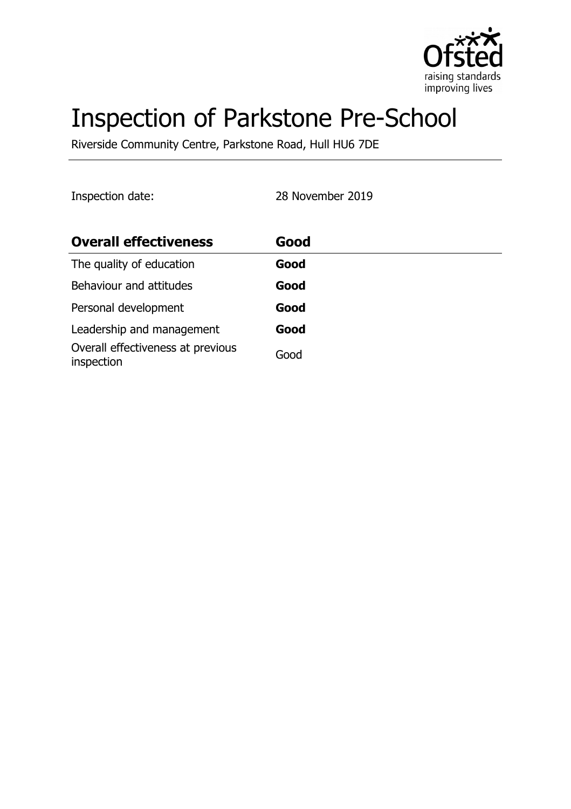

# Inspection of Parkstone Pre-School

Riverside Community Centre, Parkstone Road, Hull HU6 7DE

Inspection date: 28 November 2019

| <b>Overall effectiveness</b>                    | Good |
|-------------------------------------------------|------|
| The quality of education                        | Good |
| Behaviour and attitudes                         | Good |
| Personal development                            | Good |
| Leadership and management                       | Good |
| Overall effectiveness at previous<br>inspection | Good |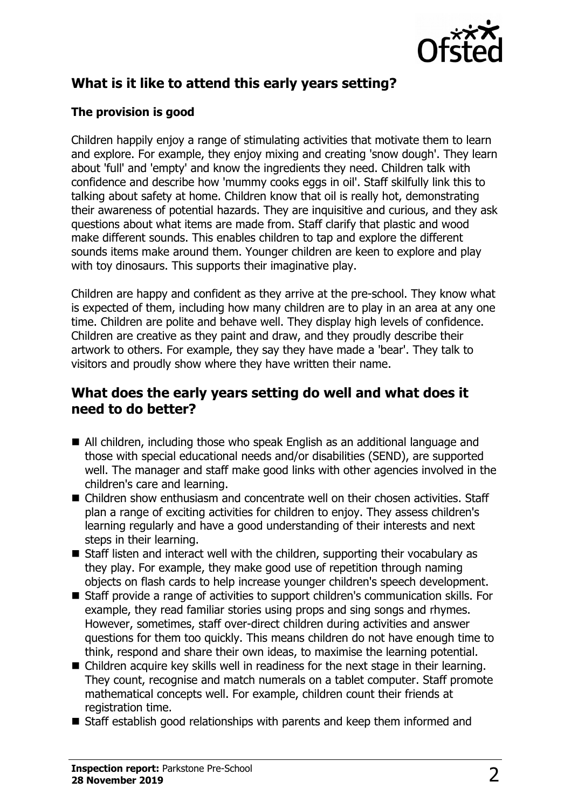

## **What is it like to attend this early years setting?**

#### **The provision is good**

Children happily enjoy a range of stimulating activities that motivate them to learn and explore. For example, they enjoy mixing and creating 'snow dough'. They learn about 'full' and 'empty' and know the ingredients they need. Children talk with confidence and describe how 'mummy cooks eggs in oil'. Staff skilfully link this to talking about safety at home. Children know that oil is really hot, demonstrating their awareness of potential hazards. They are inquisitive and curious, and they ask questions about what items are made from. Staff clarify that plastic and wood make different sounds. This enables children to tap and explore the different sounds items make around them. Younger children are keen to explore and play with toy dinosaurs. This supports their imaginative play.

Children are happy and confident as they arrive at the pre-school. They know what is expected of them, including how many children are to play in an area at any one time. Children are polite and behave well. They display high levels of confidence. Children are creative as they paint and draw, and they proudly describe their artwork to others. For example, they say they have made a 'bear'. They talk to visitors and proudly show where they have written their name.

### **What does the early years setting do well and what does it need to do better?**

- All children, including those who speak English as an additional language and those with special educational needs and/or disabilities (SEND), are supported well. The manager and staff make good links with other agencies involved in the children's care and learning.
- $\blacksquare$  Children show enthusiasm and concentrate well on their chosen activities. Staff plan a range of exciting activities for children to enjoy. They assess children's learning regularly and have a good understanding of their interests and next steps in their learning.
- $\blacksquare$  Staff listen and interact well with the children, supporting their vocabulary as they play. For example, they make good use of repetition through naming objects on flash cards to help increase younger children's speech development.
- Staff provide a range of activities to support children's communication skills. For example, they read familiar stories using props and sing songs and rhymes. However, sometimes, staff over-direct children during activities and answer questions for them too quickly. This means children do not have enough time to think, respond and share their own ideas, to maximise the learning potential.
- $\blacksquare$  Children acquire key skills well in readiness for the next stage in their learning. They count, recognise and match numerals on a tablet computer. Staff promote mathematical concepts well. For example, children count their friends at registration time.
- $\blacksquare$  Staff establish good relationships with parents and keep them informed and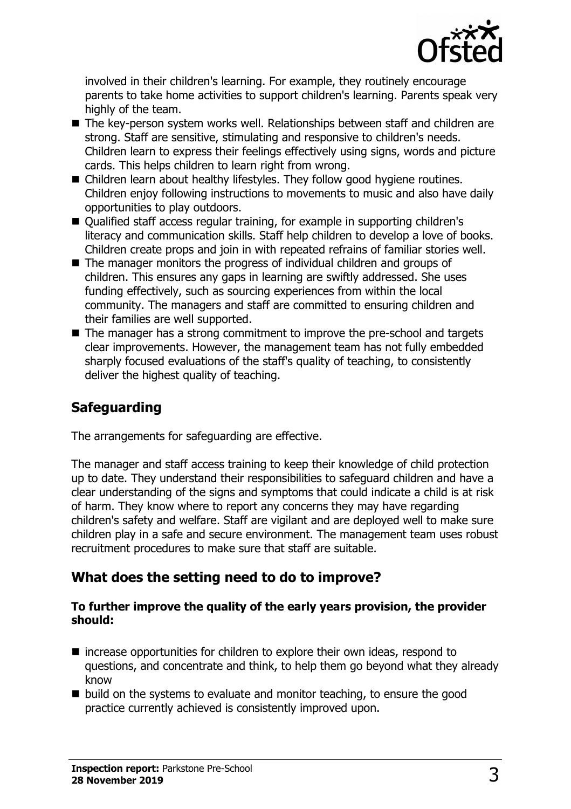

involved in their children's learning. For example, they routinely encourage parents to take home activities to support children's learning. Parents speak very highly of the team.

- $\blacksquare$  The key-person system works well. Relationships between staff and children are strong. Staff are sensitive, stimulating and responsive to children's needs. Children learn to express their feelings effectively using signs, words and picture cards. This helps children to learn right from wrong.
- Children learn about healthy lifestyles. They follow good hygiene routines. Children enjoy following instructions to movements to music and also have daily opportunities to play outdoors.
- Qualified staff access regular training, for example in supporting children's literacy and communication skills. Staff help children to develop a love of books. Children create props and join in with repeated refrains of familiar stories well.
- $\blacksquare$  The manager monitors the progress of individual children and groups of children. This ensures any gaps in learning are swiftly addressed. She uses funding effectively, such as sourcing experiences from within the local community. The managers and staff are committed to ensuring children and their families are well supported.
- $\blacksquare$  The manager has a strong commitment to improve the pre-school and targets clear improvements. However, the management team has not fully embedded sharply focused evaluations of the staff's quality of teaching, to consistently deliver the highest quality of teaching.

## **Safeguarding**

The arrangements for safeguarding are effective.

The manager and staff access training to keep their knowledge of child protection up to date. They understand their responsibilities to safeguard children and have a clear understanding of the signs and symptoms that could indicate a child is at risk of harm. They know where to report any concerns they may have regarding children's safety and welfare. Staff are vigilant and are deployed well to make sure children play in a safe and secure environment. The management team uses robust recruitment procedures to make sure that staff are suitable.

## **What does the setting need to do to improve?**

#### **To further improve the quality of the early years provision, the provider should:**

- $\blacksquare$  increase opportunities for children to explore their own ideas, respond to questions, and concentrate and think, to help them go beyond what they already know
- $\blacksquare$  build on the systems to evaluate and monitor teaching, to ensure the good practice currently achieved is consistently improved upon.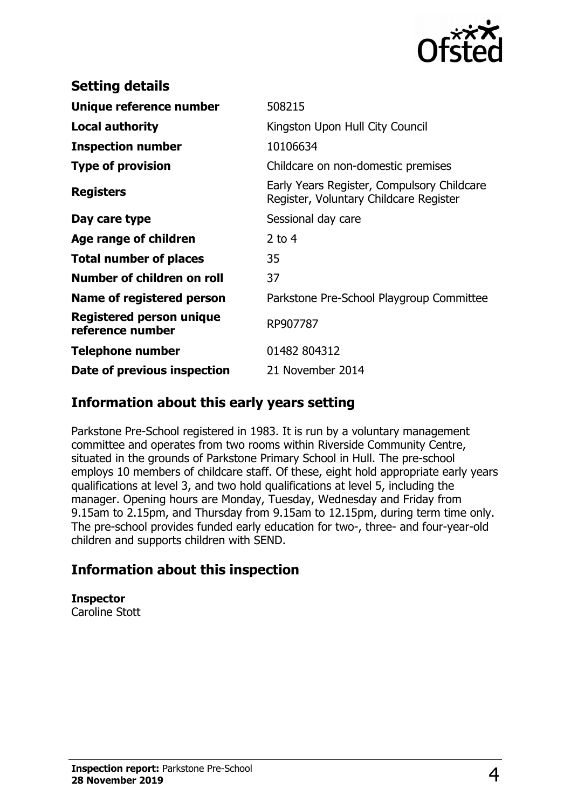

| 508215                                                                               |
|--------------------------------------------------------------------------------------|
| Kingston Upon Hull City Council                                                      |
| 10106634                                                                             |
| Childcare on non-domestic premises                                                   |
| Early Years Register, Compulsory Childcare<br>Register, Voluntary Childcare Register |
| Sessional day care                                                                   |
| 2 to $4$                                                                             |
| 35                                                                                   |
| 37                                                                                   |
| Parkstone Pre-School Playgroup Committee                                             |
| RP907787                                                                             |
| 01482 804312                                                                         |
| 21 November 2014                                                                     |
|                                                                                      |

## **Information about this early years setting**

Parkstone Pre-School registered in 1983. It is run by a voluntary management committee and operates from two rooms within Riverside Community Centre, situated in the grounds of Parkstone Primary School in Hull. The pre-school employs 10 members of childcare staff. Of these, eight hold appropriate early years qualifications at level 3, and two hold qualifications at level 5, including the manager. Opening hours are Monday, Tuesday, Wednesday and Friday from 9.15am to 2.15pm, and Thursday from 9.15am to 12.15pm, during term time only. The pre-school provides funded early education for two-, three- and four-year-old children and supports children with SEND.

## **Information about this inspection**

## **Inspector**

Caroline Stott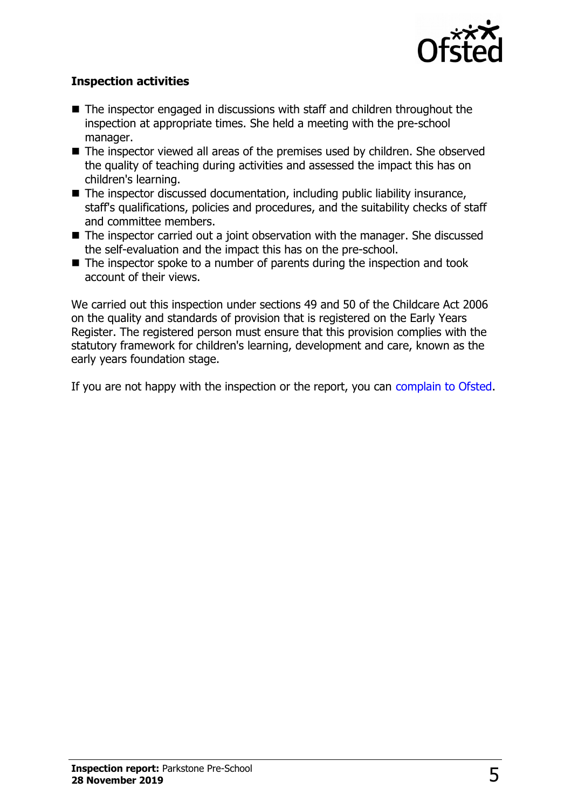

#### **Inspection activities**

- $\blacksquare$  The inspector engaged in discussions with staff and children throughout the inspection at appropriate times. She held a meeting with the pre-school manager.
- The inspector viewed all areas of the premises used by children. She observed the quality of teaching during activities and assessed the impact this has on children's learning.
- $\blacksquare$  The inspector discussed documentation, including public liability insurance, staff's qualifications, policies and procedures, and the suitability checks of staff and committee members.
- $\blacksquare$  The inspector carried out a joint observation with the manager. She discussed the self-evaluation and the impact this has on the pre-school.
- $\blacksquare$  The inspector spoke to a number of parents during the inspection and took account of their views.

We carried out this inspection under sections 49 and 50 of the Childcare Act 2006 on the quality and standards of provision that is registered on the Early Years Register. The registered person must ensure that this provision complies with the statutory framework for children's learning, development and care, known as the early years foundation stage.

If you are not happy with the inspection or the report, you can [complain to Ofsted.](http://www.gov.uk/complain-ofsted-report)